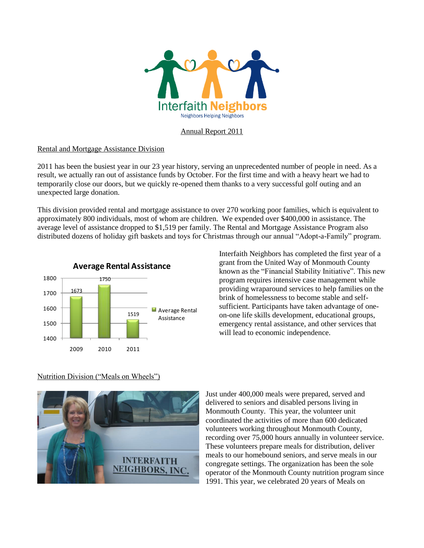

## Annual Report 2011

## Rental and Mortgage Assistance Division

2011 has been the busiest year in our 23 year history, serving an unprecedented number of people in need. As a result, we actually ran out of assistance funds by October. For the first time and with a heavy heart we had to temporarily close our doors, but we quickly re-opened them thanks to a very successful golf outing and an unexpected large donation.

This division provided rental and mortgage assistance to over 270 working poor families, which is equivalent to approximately 800 individuals, most of whom are children. We expended over \$400,000 in assistance. The average level of assistance dropped to \$1,519 per family. The Rental and Mortgage Assistance Program also distributed dozens of holiday gift baskets and toys for Christmas through our annual "Adopt-a-Family" program.



Interfaith Neighbors has completed the first year of a grant from the United Way of Monmouth County known as the "Financial Stability Initiative". This new program requires intensive case management while providing wraparound services to help families on the brink of homelessness to become stable and selfsufficient. Participants have taken advantage of oneon-one life skills development, educational groups, emergency rental assistance, and other services that will lead to economic independence.

#### Nutrition Division ("Meals on Wheels")



Just under 400,000 meals were prepared, served and delivered to seniors and disabled persons living in Monmouth County. This year, the volunteer unit coordinated the activities of more than 600 dedicated volunteers working throughout Monmouth County, recording over 75,000 hours annually in volunteer service. These volunteers prepare meals for distribution, deliver meals to our homebound seniors, and serve meals in our congregate settings. The organization has been the sole operator of the Monmouth County nutrition program since 1991. This year, we celebrated 20 years of Meals on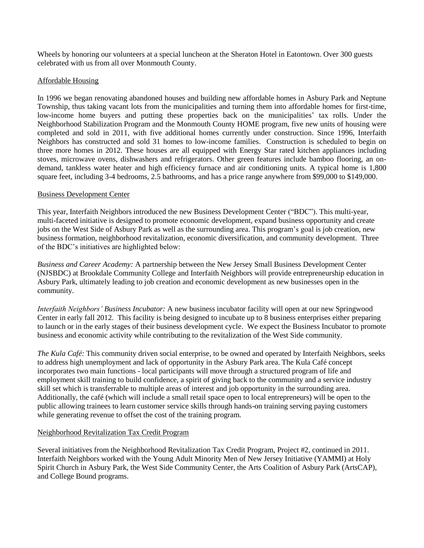Wheels by honoring our volunteers at a special luncheon at the Sheraton Hotel in Eatontown. Over 300 guests celebrated with us from all over Monmouth County.

# Affordable Housing

In 1996 we began renovating abandoned houses and building new affordable homes in Asbury Park and Neptune Township, thus taking vacant lots from the municipalities and turning them into affordable homes for first-time, low-income home buyers and putting these properties back on the municipalities' tax rolls. Under the Neighborhood Stabilization Program and the Monmouth County HOME program, five new units of housing were completed and sold in 2011, with five additional homes currently under construction. Since 1996, Interfaith Neighbors has constructed and sold 31 homes to low-income families. Construction is scheduled to begin on three more homes in 2012. These houses are all equipped with Energy Star rated kitchen appliances including stoves, microwave ovens, dishwashers and refrigerators. Other green features include bamboo flooring, an ondemand, tankless water heater and high efficiency furnace and air conditioning units. A typical home is 1,800 square feet, including 3-4 bedrooms, 2.5 bathrooms, and has a price range anywhere from \$99,000 to \$149,000.

## Business Development Center

This year, Interfaith Neighbors introduced the new Business Development Center ("BDC"). This multi-year, multi-faceted initiative is designed to promote economic development, expand business opportunity and create jobs on the West Side of Asbury Park as well as the surrounding area. This program's goal is job creation, new business formation, neighborhood revitalization, economic diversification, and community development. Three of the BDC's initiatives are highlighted below:

*[Business and Career Academy:](http://www.interfaithneighbors.org/uploaded/business_and_career_academy.asp)* A partnership between the New Jersey Small Business Development Center (NJSBDC) at Brookdale Community College and Interfaith Neighbors will provide entrepreneurship education in Asbury Park, ultimately leading to job creation and economic development as new businesses open in the community.

*Interfaith Neighbors' Business Incubator:* A new business incubator facility will open at our new Springwood Center in early fall 2012. This facility is being designed to incubate up to 8 business enterprises either preparing to launch or in the early stages of their business development cycle. We expect the Business Incubator to promote business and economic activity while contributing to the revitalization of the West Side community.

*The Kula Café:* This community driven social enterprise, to be owned and operated by Interfaith Neighbors, seeks to address high unemployment and lack of opportunity in the Asbury Park area. The Kula Café concept incorporates two main functions - local participants will move through a structured program of life and employment skill training to build confidence, a spirit of giving back to the community and a service industry skill set which is transferrable to multiple areas of interest and job opportunity in the surrounding area. Additionally, the café (which will include a small retail space open to local entrepreneurs) will be open to the public allowing trainees to learn customer service skills through hands-on training serving paying customers while generating revenue to offset the cost of the training program.

## Neighborhood Revitalization Tax Credit Program

Several initiatives from the Neighborhood Revitalization Tax Credit Program, Project #2, continued in 2011. Interfaith Neighbors worked with the Young Adult Minority Men of New Jersey Initiative (YAMMI) at Holy Spirit Church in Asbury Park, the West Side Community Center, the Arts Coalition of Asbury Park (ArtsCAP), and College Bound programs.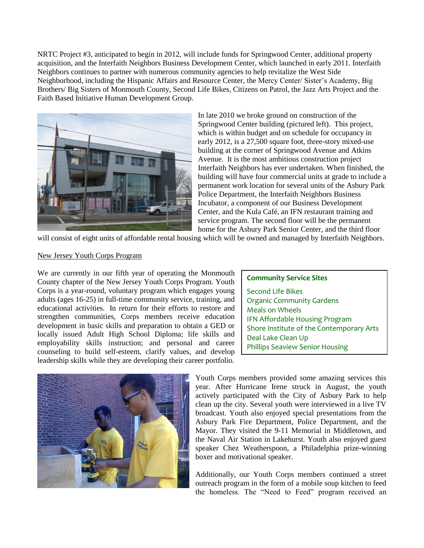NRTC Project #3, anticipated to begin in 2012, will include funds for Springwood Center, additional property acquisition, and the Interfaith Neighbors Business Development Center, which launched in early 2011. Interfaith Neighbors continues to partner with numerous community agencies to help revitalize the West Side Neighborhood, including the Hispanic Affairs and Resource Center, the Mercy Center/ Sister's Academy, Big Brothers/ Big Sisters of Monmouth County, Second Life Bikes, Citizens on Patrol, the Jazz Arts Project and the Faith Based Initiative Human Development Group.



In late 2010 we broke ground on construction of the Springwood Center building (pictured left). This project, which is within budget and on schedule for occupancy in early 2012, is a 27,500 square foot, three-story mixed-use building at the corner of Springwood Avenue and Atkins Avenue. It is the most ambitious construction project Interfaith Neighbors has ever undertaken. When finished, the building will have four commercial units at grade to include a permanent work location for several units of the Asbury Park Police Department, the Interfaith Neighbors Business Incubator, a component of our Business Development Center, and the Kula Café, an IFN restaurant training and service program. The second floor will be the permanent home for the Asbury Park Senior Center, and the third floor

will consist of eight units of affordable rental housing which will be owned and managed by Interfaith Neighbors.

#### New Jersey Youth Corps Program

We are currently in our fifth year of operating the Monmouth County chapter of the New Jersey Youth Corps Program. Youth Corps is a year-round, voluntary program which engages young adults (ages 16-25) in full-time community service, training, and educational activities. In return for their efforts to restore and strengthen communities, Corps members receive education development in basic skills and preparation to obtain a GED or locally issued Adult High School Diploma; life skills and employability skills instruction; and personal and career counseling to build self-esteem, clarify values, and develop leadership skills while they are developing their career portfolio.





Youth Corps members provided some amazing services this year. After Hurricane Irene struck in August, the youth actively participated with the City of Asbury Park to help clean up the city. Several youth were interviewed in a live TV broadcast. Youth also enjoyed special presentations from the Asbury Park Fire Department, Police Department, and the Mayor. They visited the 9-11 Memorial in Middletown, and the Naval Air Station in Lakehurst. Youth also enjoyed guest speaker Chez Weatherspoon, a Philadelphia prize-winning boxer and motivational speaker.

Additionally, our Youth Corps members continued a street outreach program in the form of a mobile soup kitchen to feed the homeless. The "Need to Feed" program received an